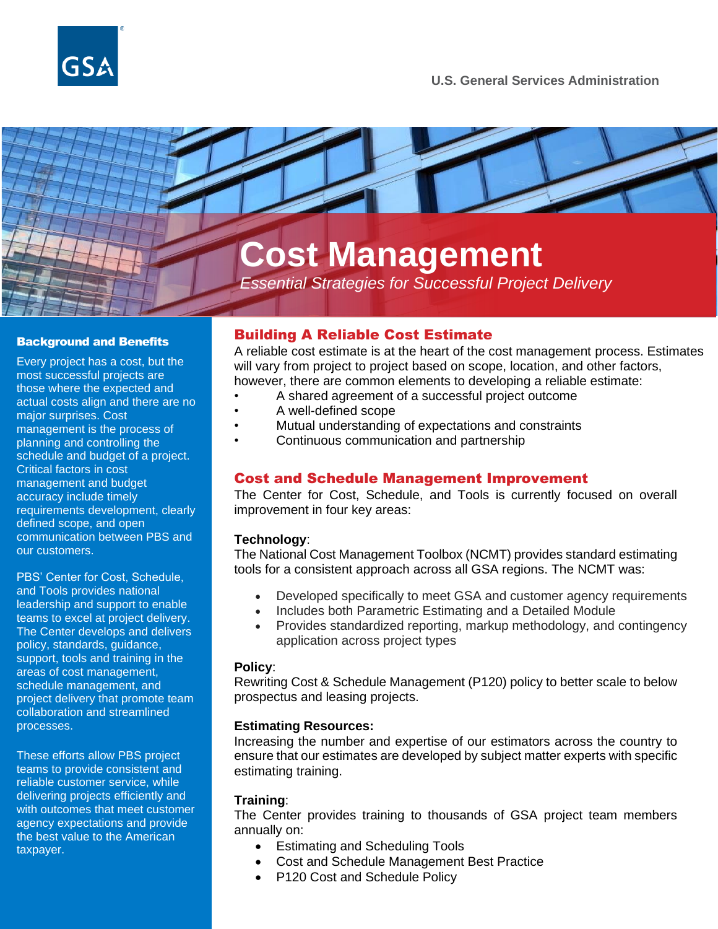



*Essential Strategies for Successful Project Delivery*

#### Background and Benefits

Every project has a cost, but the most successful projects are those where the expected and actual costs align and there are no major surprises. Cost management is the process of planning and controlling the schedule and budget of a project. Critical factors in cost management and budget accuracy include timely requirements development, clearly defined scope, and open communication between PBS and our customers.

PBS' Center for Cost, Schedule, and Tools provides national leadership and support to enable teams to excel at project delivery. The Center develops and delivers policy, standards, guidance, support, tools and training in the areas of cost management, schedule management, and project delivery that promote team collaboration and streamlined processes.

These efforts allow PBS project teams to provide consistent and reliable customer service, while delivering projects efficiently and with outcomes that meet customer agency expectations and provide the best value to the American taxpayer.

# Building A Reliable Cost Estimate

A reliable cost estimate is at the heart of the cost management process. Estimates will vary from project to project based on scope, location, and other factors, however, there are common elements to developing a reliable estimate:

- A shared agreement of a successful project outcome
- A well-defined scope
- Mutual understanding of expectations and constraints
- Continuous communication and partnership

### Cost and Schedule Management Improvement

The Center for Cost, Schedule, and Tools is currently focused on overall improvement in four key areas:

#### **Technology**:

The National Cost Management Toolbox (NCMT) provides standard estimating tools for a consistent approach across all GSA regions. The NCMT was:

- Developed specifically to meet GSA and customer agency requirements
- Includes both Parametric Estimating and a Detailed Module
- Provides standardized reporting, markup methodology, and contingency application across project types

#### **Policy**:

Rewriting Cost & Schedule Management (P120) policy to better scale to below prospectus and leasing projects.

#### **Estimating Resources:**

Increasing the number and expertise of our estimators across the country to ensure that our estimates are developed by subject matter experts with specific estimating training.

#### **Training**:

The Center provides training to thousands of GSA project team members annually on:

- Estimating and Scheduling Tools
- Cost and Schedule Management Best Practice
- P120 Cost and Schedule Policy